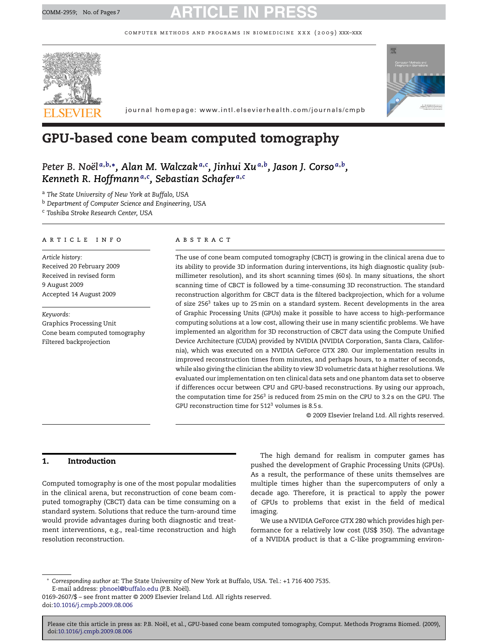computer methods and programs in biomedicine xxx (2009) xxx–xxx



# **GPU-based cone beam computed tomography**

*Peter B. Noël <sup>a</sup>***,***b***,∗***, Alan M. Walczak <sup>a</sup>***,***<sup>c</sup> , Jinhui Xu<sup>a</sup>***,***b, Jason J. Corso <sup>a</sup>***,***b, Kenneth R. Hoffmann<sup>a</sup>***,***<sup>c</sup> , Sebastian Schafer <sup>a</sup>***,***<sup>c</sup>*

<sup>a</sup> *The State University of New York at Buffalo, USA*

<sup>b</sup> *Department of Computer Science and Engineering, USA*

<sup>c</sup> *Toshiba Stroke Research Center, USA*

### article info

*Article history:* Received 20 February 2009 Received in revised form 9 August 2009 Accepted 14 August 2009

*Keywords:* Graphics Processing Unit Cone beam computed tomography Filtered backprojection

### abstract

The use of cone beam computed tomography (CBCT) is growing in the clinical arena due to its ability to provide 3D information during interventions, its high diagnostic quality (submillimeter resolution), and its short scanning times (60 s). In many situations, the short scanning time of CBCT is followed by a time-consuming 3D reconstruction. The standard reconstruction algorithm for CBCT data is the filtered backprojection, which for a volume of size  $256<sup>3</sup>$  takes up to  $25$  min on a standard system. Recent developments in the area of Graphic Processing Units (GPUs) make it possible to have access to high-performance computing solutions at a low cost, allowing their use in many scientific problems. We have implemented an algorithm for 3D reconstruction of CBCT data using the Compute Unified Device Architecture (CUDA) provided by NVIDIA (NVIDIA Corporation, Santa Clara, California), which was executed on a NVIDIA GeForce GTX 280. Our implementation results in improved reconstruction times from minutes, and perhaps hours, to a matter of seconds, while also giving the clinician the ability to view 3D volumetric data at higher resolutions.We evaluated our implementation on ten clinical data sets and one phantom data set to observe if differences occur between CPU and GPU-based reconstructions. By using our approach, the computation time for 256<sup>3</sup> is reduced from 25 min on the CPU to 3.2 s on the GPU. The GPU reconstruction time for  $512<sup>3</sup>$  volumes is 8.5 s.

© 2009 Elsevier Ireland Ltd. All rights reserved.

# **1. Introduction**

Computed tomography is one of the most popular modalities in the clinical arena, but reconstruction of cone beam computed tomography (CBCT) data can be time consuming on a standard system. Solutions that reduce the turn-around time would provide advantages during both diagnostic and treatment interventions, e.g., real-time reconstruction and high resolution reconstruction.

The high demand for realism in computer games has pushed the development of Graphic Processing Units (GPUs). As a result, the performance of these units themselves are multiple times higher than the supercomputers of only a decade ago. Therefore, it is practical to apply the power of GPUs to problems that exist in the field of medical imaging.

We use a NVIDIA GeForce GTX 280 which provides high performance for a relatively low cost (US\$ 350). The advantage of a NVIDIA product is that a C-like programming environ-

<sup>∗</sup> *Corresponding author at*: The State University of New York at Buffalo, USA. Tel.: +1 716 400 7535. E-mail address: [pbnoel@buffalo.edu](mailto:pbnoel@buffalo.edu) (P.B. Noël).

<sup>0169-2607/\$ –</sup> see front matter © 2009 Elsevier Ireland Ltd. All rights reserved. doi:[10.1016/j.cmpb.2009.08.006](dx.doi.org/10.1016/j.cmpb.2009.08.006)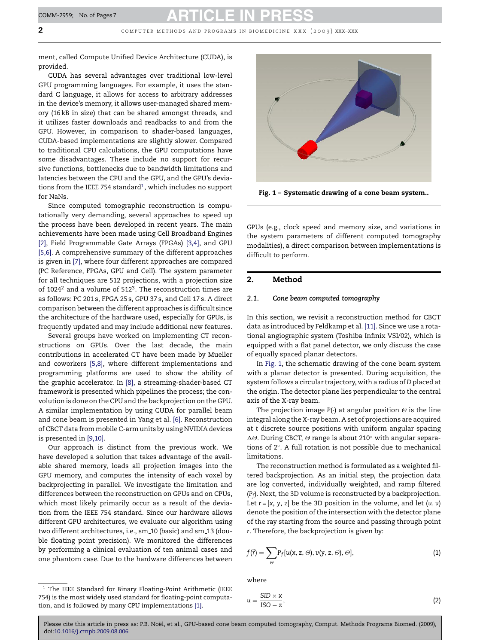**2** computer methods and programs in biomedicine xxx (2009) xxx–xxx

ment, called Compute Unified Device Architecture (CUDA), is provided.

CUDA has several advantages over traditional low-level GPU programming languages. For example, it uses the standard C language, it allows for access to arbitrary addresses in the device's memory, it allows user-managed shared memory (16 kB in size) that can be shared amongst threads, and it utilizes faster downloads and readbacks to and from the GPU. However, in comparison to shader-based languages, CUDA-based implementations are slightly slower. Compared to traditional CPU calculations, the GPU computations have some disadvantages. These include no support for recursive functions, bottlenecks due to bandwidth limitations and latencies between the CPU and the GPU, and the GPU's deviations from the IEEE 754 standard<sup>1</sup>, which includes no support for NaNs.

Since computed tomographic reconstruction is computationally very demanding, several approaches to speed up the process have been developed in recent years. The main achievements have been made using Cell Broadband Engines [\[2\],](#page-6-0) Field Programmable Gate Arrays (FPGAs) [\[3,4\],](#page-6-0) and GPU [\[5,6\].](#page-6-0) A comprehensive summary of the different approaches is given in [\[7\], w](#page-6-0)here four different approaches are compared (PC Reference, FPGAs, GPU and Cell). The system parameter for all techniques are 512 projections, with a projection size of  $1024<sup>2</sup>$  and a volume of  $512<sup>3</sup>$ . The reconstruction times are as follows: PC 201 s, FPGA 25 s, GPU 37 s, and Cell 17 s. A direct comparison between the different approaches is difficult since the architecture of the hardware used, especially for GPUs, is frequently updated and may include additional new features.

Several groups have worked on implementing CT reconstructions on GPUs. Over the last decade, the main contributions in accelerated CT have been made by Mueller and coworkers [\[5,8\],](#page-6-0) where different implementations and programming platforms are used to show the ability of the graphic accelerator. In [\[8\],](#page-6-0) a streaming-shader-based CT framework is presented which pipelines the process; the convolution is done on the CPU and the backprojection on the GPU. A similar implementation by using CUDA for parallel beam and cone beam is presented in Yang et al. [\[6\]. R](#page-6-0)econstruction of CBCT data from mobile C-arm units by using NVIDIA devices is presented in [\[9,10\].](#page-6-0)

Our approach is distinct from the previous work. We have developed a solution that takes advantage of the available shared memory, loads all projection images into the GPU memory, and computes the intensity of each voxel by backprojecting in parallel. We investigate the limitation and differences between the reconstruction on GPUs and on CPUs, which most likely primarily occur as a result of the deviation from the IEEE 754 standard. Since our hardware allows different GPU architectures, we evaluate our algorithm using two different architectures, i.e., sm<sub>-10</sub> (basic) and sm<sub>-13</sub> (double floating point precision). We monitored the differences by performing a clinical evaluation of ten animal cases and one phantom case. Due to the hardware differences between



**Fig. 1 – Systematic drawing of a cone beam system..**

GPUs (e.g., clock speed and memory size, and variations in the system parameters of different computed tomography modalities), a direct comparison between implementations is difficult to perform.

# **2. Method**

### *2.1. Cone beam computed tomography*

In this section, we revisit a reconstruction method for CBCT data as introduced by Feldkamp et al. [\[11\]. S](#page-6-0)ince we use a rotational angiographic system (Toshiba Infinix VSI/02), which is equipped with a flat panel detector, we only discuss the case of equally spaced planar detectors.

In Fig. 1, the schematic drawing of the cone beam system with a planar detector is presented. During acquisition, the system follows a circular trajectory, with a radius of *D* placed at the origin. The detector plane lies perpendicular to the central axis of the X-ray beam.

The projection image  $P(\cdot)$  at angular position  $\Theta$  is the line integral along the X-ray beam. A set of projections are acquired at *t* discrete source positions with uniform angular spacing ∆ $\Theta$ . During CBCT,  $\Theta$  range is about 210° with angular separations of 2◦. A full rotation is not possible due to mechanical limitations.

The reconstruction method is formulated as a weighted filtered backprojection. As an initial step, the projection data are log converted, individually weighted, and ramp filtered (*Pf*). Next, the 3D volume is reconstructed by a backprojection. Let  $r = [x, y, z]$  be the 3D position in the volume, and let  $(u, v)$ denote the position of the intersection with the detector plane of the ray starting from the source and passing through point *r*. Therefore, the backprojection is given by:

$$
f(\vec{r}) = \sum_{\Theta} P_f[u(x, z, \Theta), v(y, z, \Theta), \Theta],
$$
 (1)

where

$$
u = \frac{\text{SID} \times \mathbf{x}}{\text{ISO} - \mathbf{z}},\tag{2}
$$

<sup>&</sup>lt;sup>1</sup> The IEEE Standard for Binary Floating-Point Arithmetic (IEEE 754) is the most widely used standard for floating-point computation, and is followed by many CPU implementations [\[1\].](#page-6-0)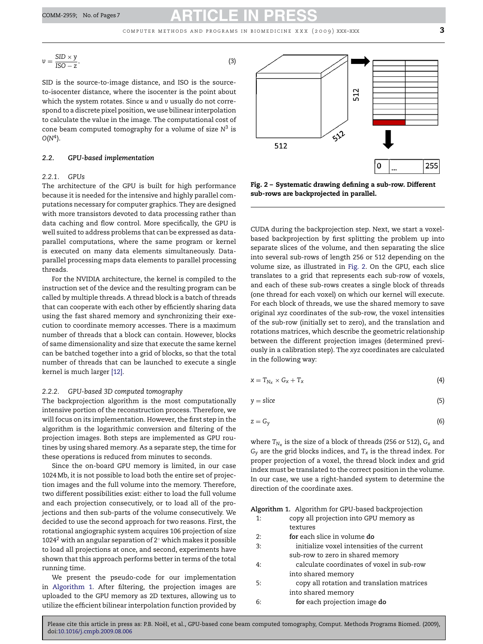$$
v = \frac{\text{SID} \times y}{\text{ISO} - z},\tag{3}
$$

SID is the source-to-image distance, and ISO is the sourceto-isocenter distance, where the isocenter is the point about which the system rotates. Since *u* and v usually do not correspond to a discrete pixel position, we use bilinear interpolation to calculate the value in the image. The computational cost of cone beam computed tomography for a volume of size *N*<sup>3</sup> is  $O(N<sup>4</sup>)$ .

### *2.2. GPU-based implementation*

### *2.2.1. GPUs*

The architecture of the GPU is built for high performance because it is needed for the intensive and highly parallel computations necessary for computer graphics. They are designed with more transistors devoted to data processing rather than data caching and flow control. More specifically, the GPU is well suited to address problems that can be expressed as dataparallel computations, where the same program or kernel is executed on many data elements simultaneously. Dataparallel processing maps data elements to parallel processing threads.

For the NVIDIA architecture, the kernel is compiled to the instruction set of the device and the resulting program can be called by multiple threads. A thread block is a batch of threads that can cooperate with each other by efficiently sharing data using the fast shared memory and synchronizing their execution to coordinate memory accesses. There is a maximum number of threads that a block can contain. However, blocks of same dimensionality and size that execute the same kernel can be batched together into a grid of blocks, so that the total number of threads that can be launched to execute a single kernel is much larger [\[12\].](#page-6-0)

# *2.2.2. GPU-based 3D computed tomography*

The backprojection algorithm is the most computationally intensive portion of the reconstruction process. Therefore, we will focus on its implementation. However, the first step in the algorithm is the logarithmic conversion and filtering of the projection images. Both steps are implemented as GPU routines by using shared memory. As a separate step, the time for these operations is reduced from minutes to seconds.

Since the on-board GPU memory is limited, in our case 1024 Mb, it is not possible to load both the entire set of projection images and the full volume into the memory. Therefore, two different possibilities exist: either to load the full volume and each projection consecutively, or to load all of the projections and then sub-parts of the volume consecutively. We decided to use the second approach for two reasons. First, the rotational angiographic system acquires 106 projection of size 1024<sup>2</sup> with an angular separation of 2 $\degree$  which makes it possible to load all projections at once, and second, experiments have shown that this approach performs better in terms of the total running time.

We present the pseudo-code for our implementation in Algorithm 1. After filtering, the projection images are uploaded to the GPU memory as 2D textures, allowing us to utilize the efficient bilinear interpolation function provided by



**Fig. 2 – Systematic drawing defining a sub-row. Different sub-rows are backprojected in parallel.**

CUDA during the backprojection step. Next, we start a voxelbased backprojection by first splitting the problem up into separate slices of the volume, and then separating the slice into several sub-rows of length 256 or 512 depending on the volume size, as illustrated in Fig. 2. On the GPU, each slice translates to a grid that represents each sub-row of voxels, and each of these sub-rows creates a single block of threads (one thread for each voxel) on which our kernel will execute. For each block of threads, we use the shared memory to save original *xyz* coordinates of the sub-row, the voxel intensities of the sub-row (initially set to zero), and the translation and rotations matrices, which describe the geometric relationship between the different projection images (determined previously in a calibration step). The *xyz* coordinates are calculated in the following way:

$$
x = T_{N_x} \times G_x + T_x \tag{4}
$$

$$
y = \text{slice} \tag{5}
$$

$$
z = G_y \tag{6}
$$

where  $T_{N_x}$  is the size of a block of threads (256 or 512),  $G_x$  and *Gy* are the grid blocks indices, and *Tx* is the thread index. For proper projection of a voxel, the thread block index and grid index must be translated to the correct position in the volume. In our case, we use a right-handed system to determine the direction of the coordinate axes.

| Algorithm 1. Algorithm for GPU-based backprojection |  |  |  |
|-----------------------------------------------------|--|--|--|
|                                                     |  |  |  |

|     | Algorithm 1.Algorithm for GPU-based backprojection |
|-----|----------------------------------------------------|
| 1:  | copy all projection into GPU memory as             |
|     | textures                                           |
| 2:  | for each slice in volume do                        |
| 3:  | initialize voxel intensities of the current        |
|     | sub-row to zero in shared memory                   |
| 4:  | calculate coordinates of voxel in sub-row          |
|     | into shared memory                                 |
| -5: | copy all rotation and translation matrices         |
|     | into shared memory                                 |
| 6:  | for each projection image do                       |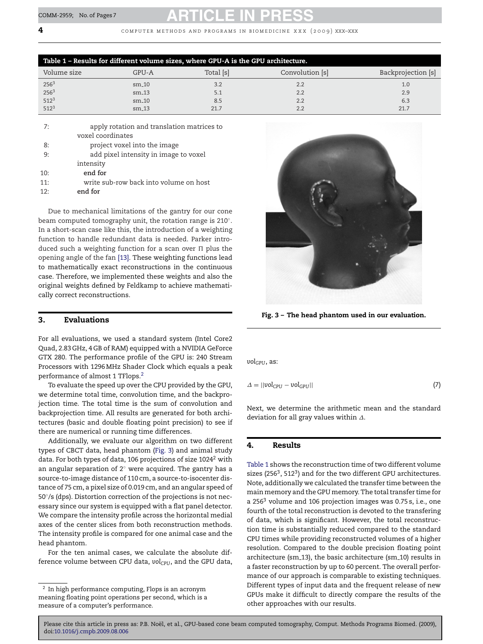**4** computer methods and programs in biomedicine xxx (2009) xxx–xxx

| Table 1 - Results for different volume sizes, where GPU-A is the GPU architecture. |         |           |                 |                    |  |
|------------------------------------------------------------------------------------|---------|-----------|-----------------|--------------------|--|
| Volume size                                                                        | GPU-A   | Total [s] | Convolution [s] | Backprojection [s] |  |
| 256 <sup>3</sup>                                                                   | $sm_10$ | 3.2       | 2.2             | 1.0                |  |
| 256 <sup>3</sup>                                                                   | $sm_13$ | 5.1       | 2.2             | 2.9                |  |
| $512^3$                                                                            | $sm_10$ | 8.5       | 2.2             | 6.3                |  |
| $512^3$                                                                            | $sm_13$ | 21.7      | 2.2             | 21.7               |  |

| 7:  | apply rotation and translation matrices to |
|-----|--------------------------------------------|
|     | voxel coordinates                          |
| 8:  | project voxel into the image               |
| 9:  | add pixel intensity in image to voxel      |
|     | intensity                                  |
| 10: | end for                                    |
| 11: | write sub-row back into volume on host     |
| 12. | end for                                    |

Due to mechanical limitations of the gantry for our cone beam computed tomography unit, the rotation range is 210◦. In a short-scan case like this, the introduction of a weighting function to handle redundant data is needed. Parker introduced such a weighting function for a scan over  $\Pi$  plus the opening angle of the fan [\[13\]. T](#page-6-0)hese weighting functions lead to mathematically exact reconstructions in the continuous case. Therefore, we implemented these weights and also the original weights defined by Feldkamp to achieve mathematically correct reconstructions.

# **3. Evaluations**

For all evaluations, we used a standard system (Intel Core2 Quad, 2.83 GHz, 4 GB of RAM) equipped with a NVIDIA GeForce GTX 280. The performance profile of the GPU is: 240 Stream Processors with 1296 MHz Shader Clock which equals a peak performance of almost 1 TFlops.2

To evaluate the speed up over the CPU provided by the GPU, we determine total time, convolution time, and the backprojection time. The total time is the sum of convolution and backprojection time. All results are generated for both architectures (basic and double floating point precision) to see if there are numerical or running time differences.

Additionally, we evaluate our algorithm on two different types of CBCT data, head phantom (Fig. 3) and animal study data. For both types of data, 106 projections of size  $1024<sup>2</sup>$  with an angular separation of 2◦ were acquired. The gantry has a source-to-image distance of 110 cm, a source-to-isocenter distance of 75 cm, a pixel size of 0.019 cm, and an angular speed of 50°/s (dps). Distortion correction of the projections is not necessary since our system is equipped with a flat panel detector. We compare the intensity profile across the horizontal medial axes of the center slices from both reconstruction methods. The intensity profile is compared for one animal case and the head phantom.

For the ten animal cases, we calculate the absolute difference volume between CPU data,  $vol_{CPU}$ , and the GPU data,



**Fig. 3 – The head phantom used in our evaluation.**

vol<sub>GPU</sub>, as:

 $\Delta = ||\text{vol}_{\text{CPU}} - \text{vol}_{\text{GPU}}||$  (7)

Next, we determine the arithmetic mean and the standard deviation for all gray values within  $\Delta$ .

# **4. Results**

Table 1 shows the reconstruction time of two different volume sizes (256<sup>3</sup>, 512<sup>3</sup>) and for the two different GPU architectures. Note, additionally we calculated the transfer time between the main memory and the GPU memory. The total transfer time for a 2563 volume and 106 projection images was 0.75 s, i.e., one fourth of the total reconstruction is devoted to the transfering of data, which is significant. However, the total reconstruction time is substantially reduced compared to the standard CPU times while providing reconstructed volumes of a higher resolution. Compared to the double precision floating point architecture (sm 13), the basic architecture (sm 10) results in a faster reconstruction by up to 60 percent. The overall performance of our approach is comparable to existing techniques. Different types of input data and the frequent release of new GPUs make it difficult to directly compare the results of the other approaches with our results.

<sup>2</sup> In high performance computing, Flops is an acronym meaning floating point operations per second, which is a measure of a computer's performance.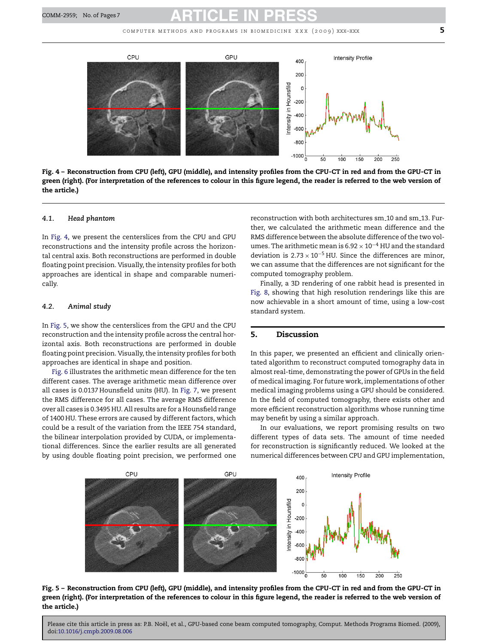

**Fig. 4 – Reconstruction from CPU (left), GPU (middle), and intensity profiles from the CPU-CT in red and from the GPU-CT in green (right). (For interpretation of the references to colour in this figure legend, the reader is referred to the web version of the article.)**

### *4.1. Head phantom*

In Fig. 4, we present the centerslices from the CPU and GPU reconstructions and the intensity profile across the horizontal central axis. Both reconstructions are performed in double floating point precision. Visually, the intensity profiles for both approaches are identical in shape and comparable numerically.

### *4.2. Animal study*

In Fig. 5, we show the centerslices from the GPU and the CPU reconstruction and the intensity profile across the central horizontal axis. Both reconstructions are performed in double floating point precision. Visually, the intensity profiles for both approaches are identical in shape and position.

[Fig. 6](#page-5-0) illustrates the arithmetic mean difference for the ten different cases. The average arithmetic mean difference over all cases is 0.0137 Hounsfield units (HU). In [Fig. 7, w](#page-5-0)e present the RMS difference for all cases. The average RMS difference over all cases is 0.3495 HU. All results are for a Hounsfield range of 1400 HU. These errors are caused by different factors, which could be a result of the variation from the IEEE 754 standard, the bilinear interpolation provided by CUDA, or implementational differences. Since the earlier results are all generated by using double floating point precision, we performed one

reconstruction with both architectures sm 10 and sm 13. Further, we calculated the arithmetic mean difference and the RMS difference between the absolute difference of the two volumes. The arithmetic mean is 6.92  $\times$  10 $^{-4}$  HU and the standard deviation is  $2.73 \times 10^{-5}$  HU. Since the differences are minor, we can assume that the differences are not significant for the computed tomography problem.

Finally, a 3D rendering of one rabbit head is presented in [Fig. 8,](#page-5-0) showing that high resolution renderings like this are now achievable in a short amount of time, using a low-cost standard system.

# **5. Discussion**

In this paper, we presented an efficient and clinically orientated algorithm to reconstruct computed tomography data in almost real-time, demonstrating the power of GPUs in the field of medical imaging. For future work, implementations of other medical imaging problems using a GPU should be considered. In the field of computed tomography, there exists other and more efficient reconstruction algorithms whose running time may benefit by using a similar approach.

In our evaluations, we report promising results on two different types of data sets. The amount of time needed for reconstruction is significantly reduced. We looked at the numerical differences between CPU and GPU implementation,



**Fig. 5 – Reconstruction from CPU (left), GPU (middle), and intensity profiles from the CPU-CT in red and from the GPU-CT in green (right). (For interpretation of the references to colour in this figure legend, the reader is referred to the web version of the article.)**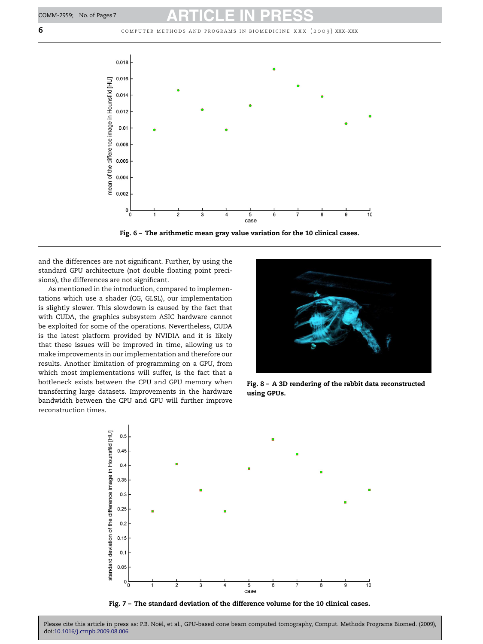<span id="page-5-0"></span>**6** computer methods and programs in biomedicine xxx (2009) xxx–xxx





and the differences are not significant. Further, by using the standard GPU architecture (not double floating point precisions), the differences are not significant.

As mentioned in the introduction, compared to implementations which use a shader (CG, GLSL), our implementation is slightly slower. This slowdown is caused by the fact that with CUDA, the graphics subsystem ASIC hardware cannot be exploited for some of the operations. Nevertheless, CUDA is the latest platform provided by NVIDIA and it is likely that these issues will be improved in time, allowing us to make improvements in our implementation and therefore our results. Another limitation of programming on a GPU, from which most implementations will suffer, is the fact that a bottleneck exists between the CPU and GPU memory when transferring large datasets. Improvements in the hardware bandwidth between the CPU and GPU will further improve reconstruction times.



**Fig. 8 – A 3D rendering of the rabbit data reconstructed using GPUs.**



**Fig. 7 – The standard deviation of the difference volume for the 10 clinical cases.**